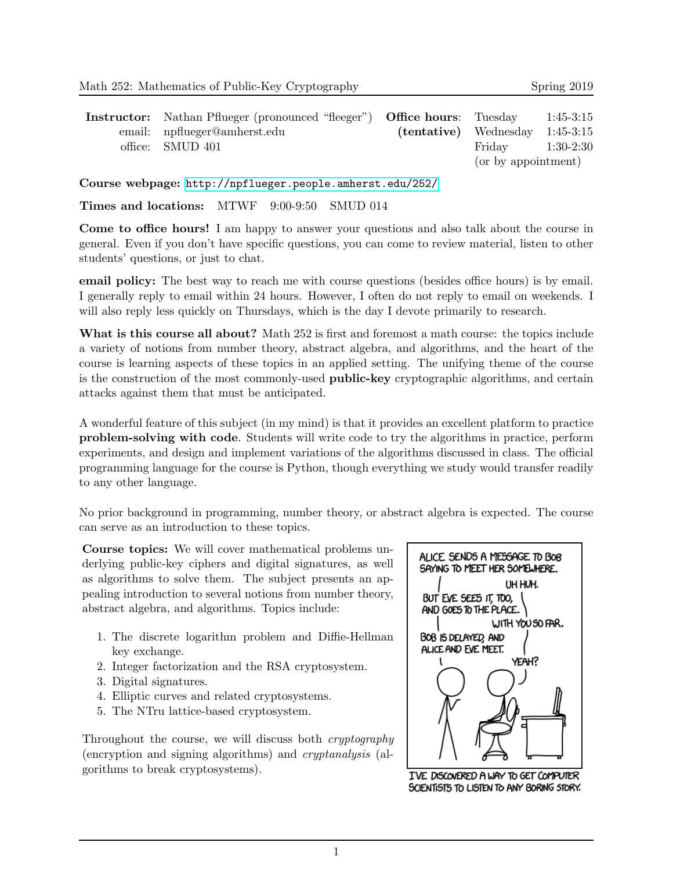| <b>Instructor:</b> Nathan Pflueger (pronounced "fleeger") <b>Office hours</b> : Tuesday |                                   |                     | $1:45-3:15$ |
|-----------------------------------------------------------------------------------------|-----------------------------------|---------------------|-------------|
| email: npflueger@amherst.edu                                                            | $(tentative)$ Wednesday 1:45-3:15 |                     |             |
| office: SMUD 401                                                                        |                                   | Friday              | $1:30-2:30$ |
|                                                                                         |                                   | (or by appointment) |             |

Course webpage: <http://npflueger.people.amherst.edu/252/>

Times and locations: MTWF 9:00-9:50 SMUD 014

Come to office hours! I am happy to answer your questions and also talk about the course in general. Even if you don't have specific questions, you can come to review material, listen to other students' questions, or just to chat.

email policy: The best way to reach me with course questions (besides office hours) is by email. I generally reply to email within 24 hours. However, I often do not reply to email on weekends. I will also reply less quickly on Thursdays, which is the day I devote primarily to research.

What is this course all about? Math 252 is first and foremost a math course: the topics include a variety of notions from number theory, abstract algebra, and algorithms, and the heart of the course is learning aspects of these topics in an applied setting. The unifying theme of the course is the construction of the most commonly-used **public-key** cryptographic algorithms, and certain attacks against them that must be anticipated.

A wonderful feature of this subject (in my mind) is that it provides an excellent platform to practice problem-solving with code. Students will write code to try the algorithms in practice, perform experiments, and design and implement variations of the algorithms discussed in class. The official programming language for the course is Python, though everything we study would transfer readily to any other language.

No prior background in programming, number theory, or abstract algebra is expected. The course can serve as an introduction to these topics.

Course topics: We will cover mathematical problems underlying public-key ciphers and digital signatures, as well as algorithms to solve them. The subject presents an appealing introduction to several notions from number theory, abstract algebra, and algorithms. Topics include:

- 1. The discrete logarithm problem and Diffie-Hellman key exchange.
- 2. Integer factorization and the RSA cryptosystem.
- 3. Digital signatures.
- 4. Elliptic curves and related cryptosystems.
- 5. The NTru lattice-based cryptosystem.

Throughout the course, we will discuss both cryptography (encryption and signing algorithms) and cryptanalysis (algorithms to break cryptosystems).



I'VE DISCOVERED A WAY TO GET COMPUTER SCIENTISTS TO LISTEN TO ANY BORING STORY.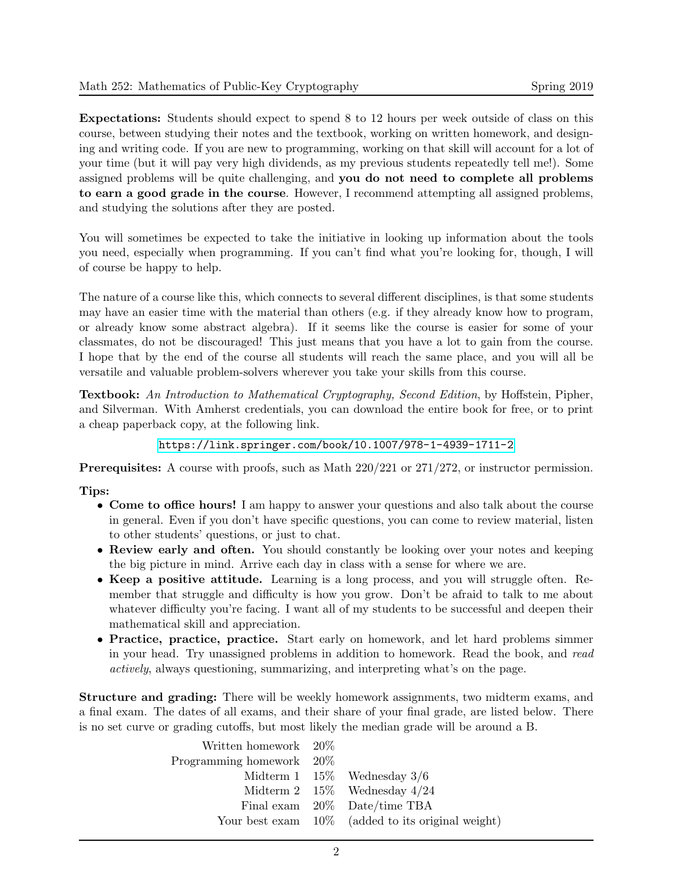Expectations: Students should expect to spend 8 to 12 hours per week outside of class on this course, between studying their notes and the textbook, working on written homework, and designing and writing code. If you are new to programming, working on that skill will account for a lot of your time (but it will pay very high dividends, as my previous students repeatedly tell me!). Some assigned problems will be quite challenging, and you do not need to complete all problems to earn a good grade in the course. However, I recommend attempting all assigned problems, and studying the solutions after they are posted.

You will sometimes be expected to take the initiative in looking up information about the tools you need, especially when programming. If you can't find what you're looking for, though, I will of course be happy to help.

The nature of a course like this, which connects to several different disciplines, is that some students may have an easier time with the material than others (e.g. if they already know how to program, or already know some abstract algebra). If it seems like the course is easier for some of your classmates, do not be discouraged! This just means that you have a lot to gain from the course. I hope that by the end of the course all students will reach the same place, and you will all be versatile and valuable problem-solvers wherever you take your skills from this course.

**Textbook:** An Introduction to Mathematical Cryptography, Second Edition, by Hoffstein, Pipher, and Silverman. With Amherst credentials, you can download the entire book for free, or to print a cheap paperback copy, at the following link.

<https://link.springer.com/book/10.1007/978-1-4939-1711-2>

Prerequisites: A course with proofs, such as Math 220/221 or 271/272, or instructor permission.

## Tips:

- Come to office hours! I am happy to answer your questions and also talk about the course in general. Even if you don't have specific questions, you can come to review material, listen to other students' questions, or just to chat.
- Review early and often. You should constantly be looking over your notes and keeping the big picture in mind. Arrive each day in class with a sense for where we are.
- Keep a positive attitude. Learning is a long process, and you will struggle often. Remember that struggle and difficulty is how you grow. Don't be afraid to talk to me about whatever difficulty you're facing. I want all of my students to be successful and deepen their mathematical skill and appreciation.
- Practice, practice, practice. Start early on homework, and let hard problems simmer in your head. Try unassigned problems in addition to homework. Read the book, and read actively, always questioning, summarizing, and interpreting what's on the page.

Structure and grading: There will be weekly homework assignments, two midterm exams, and a final exam. The dates of all exams, and their share of your final grade, are listed below. There is no set curve or grading cutoffs, but most likely the median grade will be around a B.

| Written homework $20\%$     |                                                      |
|-----------------------------|------------------------------------------------------|
| Programming homework $20\%$ |                                                      |
|                             | Midterm 1 $15\%$ Wednesday 3/6                       |
|                             | Midterm 2 $15\%$ Wednesday $4/24$                    |
|                             | Final exam 20% Date/time TBA                         |
|                             | Your best exam $10\%$ (added to its original weight) |